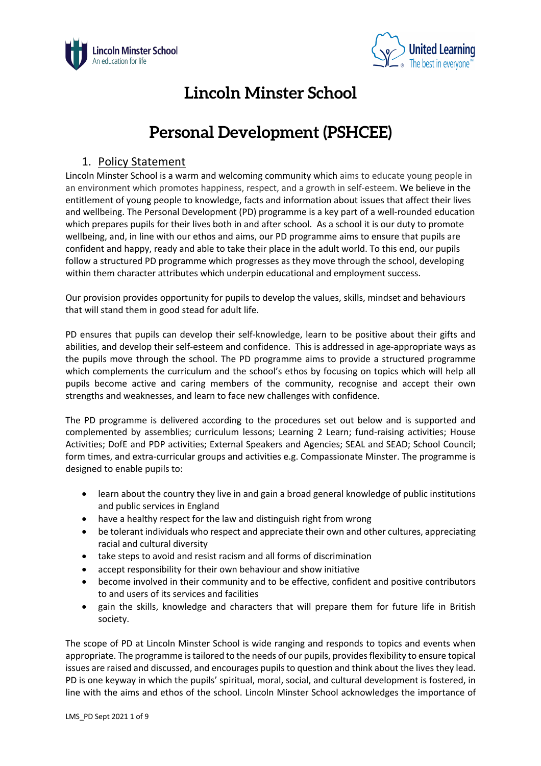



# **Lincoln Minster School**

# **Personal Development (PSHCEE)**

# 1. Policy Statement

Lincoln Minster School is a warm and welcoming community which aims to educate young people in an environment which promotes happiness, respect, and a growth in self-esteem. We believe in the entitlement of young people to knowledge, facts and information about issues that affect their lives and wellbeing. The Personal Development (PD) programme is a key part of a well-rounded education which prepares pupils for their lives both in and after school. As a school it is our duty to promote wellbeing, and, in line with our ethos and aims, our PD programme aims to ensure that pupils are confident and happy, ready and able to take their place in the adult world. To this end, our pupils follow a structured PD programme which progresses as they move through the school, developing within them character attributes which underpin educational and employment success.

Our provision provides opportunity for pupils to develop the values, skills, mindset and behaviours that will stand them in good stead for adult life.

PD ensures that pupils can develop their self-knowledge, learn to be positive about their gifts and abilities, and develop their self-esteem and confidence. This is addressed in age-appropriate ways as the pupils move through the school. The PD programme aims to provide a structured programme which complements the curriculum and the school's ethos by focusing on topics which will help all pupils become active and caring members of the community, recognise and accept their own strengths and weaknesses, and learn to face new challenges with confidence.

The PD programme is delivered according to the procedures set out below and is supported and complemented by assemblies; curriculum lessons; Learning 2 Learn; fund-raising activities; House Activities; DofE and PDP activities; External Speakers and Agencies; SEAL and SEAD; School Council; form times, and extra-curricular groups and activities e.g. Compassionate Minster. The programme is designed to enable pupils to:

- learn about the country they live in and gain a broad general knowledge of public institutions and public services in England
- have a healthy respect for the law and distinguish right from wrong
- be tolerant individuals who respect and appreciate their own and other cultures, appreciating racial and cultural diversity
- take steps to avoid and resist racism and all forms of discrimination
- accept responsibility for their own behaviour and show initiative
- become involved in their community and to be effective, confident and positive contributors to and users of its services and facilities
- gain the skills, knowledge and characters that will prepare them for future life in British society.

The scope of PD at Lincoln Minster School is wide ranging and responds to topics and events when appropriate. The programme is tailored to the needs of our pupils, provides flexibility to ensure topical issues are raised and discussed, and encourages pupils to question and think about the lives they lead. PD is one keyway in which the pupils' spiritual, moral, social, and cultural development is fostered, in line with the aims and ethos of the school. Lincoln Minster School acknowledges the importance of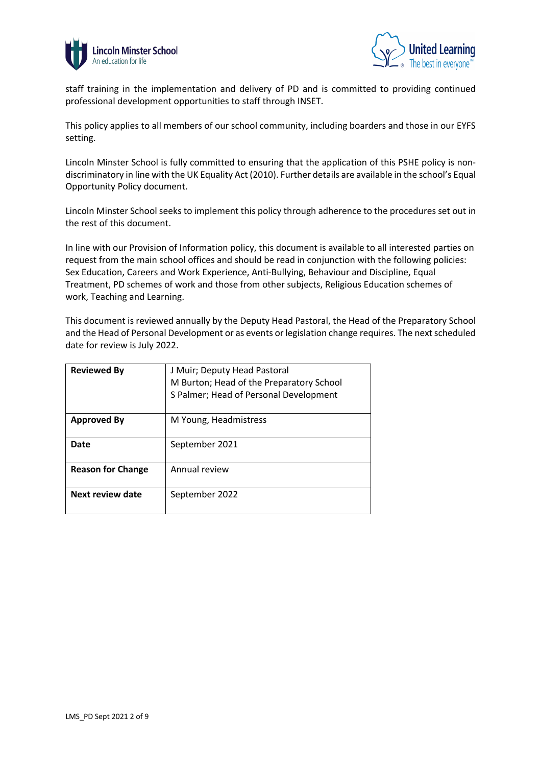



staff training in the implementation and delivery of PD and is committed to providing continued professional development opportunities to staff through INSET.

This policy applies to all members of our school community, including boarders and those in our EYFS setting.

Lincoln Minster School is fully committed to ensuring that the application of this PSHE policy is nondiscriminatory in line with the UK Equality Act (2010). Further details are available in the school's Equal Opportunity Policy document.

Lincoln Minster School seeks to implement this policy through adherence to the procedures set out in the rest of this document.

In line with our Provision of Information policy, this document is available to all interested parties on request from the main school offices and should be read in conjunction with the following policies: Sex Education, Careers and Work Experience, Anti-Bullying, Behaviour and Discipline, Equal Treatment, PD schemes of work and those from other subjects, Religious Education schemes of work, Teaching and Learning.

This document is reviewed annually by the Deputy Head Pastoral, the Head of the Preparatory School and the Head of Personal Development or as events or legislation change requires. The next scheduled date for review is July 2022.

| <b>Reviewed By</b>       | J Muir; Deputy Head Pastoral<br>M Burton; Head of the Preparatory School<br>S Palmer; Head of Personal Development |  |
|--------------------------|--------------------------------------------------------------------------------------------------------------------|--|
| <b>Approved By</b>       | M Young, Headmistress                                                                                              |  |
| Date                     | September 2021                                                                                                     |  |
| <b>Reason for Change</b> | Annual review                                                                                                      |  |
| Next review date         | September 2022                                                                                                     |  |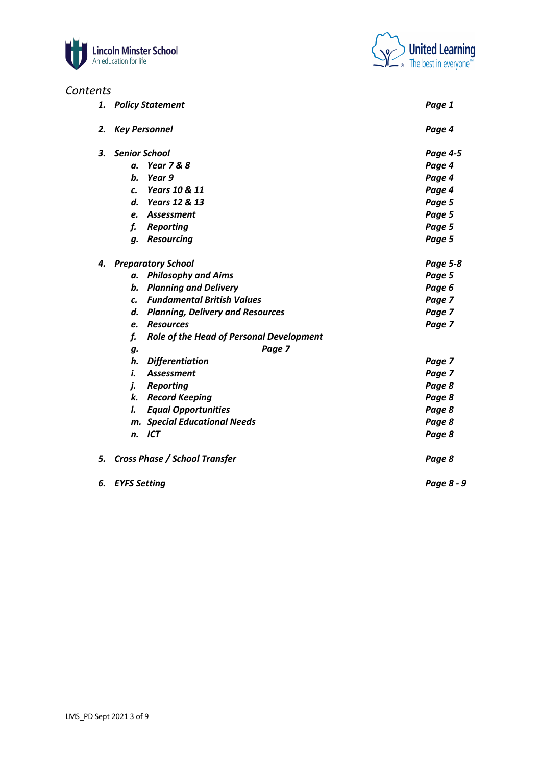

# *Contents*



| ,, , , |                                                |                 |
|--------|------------------------------------------------|-----------------|
| 1.     | <b>Policy Statement</b>                        | Page 1          |
| 2.     | <b>Key Personnel</b>                           | Page 4          |
| З.     | <b>Senior School</b>                           | Page 4-5        |
|        | <b>Year 7 &amp; 8</b><br>а.                    | Page 4          |
|        | b.<br>Year 9                                   | Page 4          |
|        | Years 10 & 11<br>c.                            | Page 4          |
|        | d.<br>Years 12 & 13                            | Page 5          |
|        | Assessment<br>e.                               | Page 5          |
|        | f.<br><b>Reporting</b>                         | Page 5          |
|        | <b>Resourcing</b><br>q.                        | Page 5          |
| 4.     | <b>Preparatory School</b>                      | <b>Page 5-8</b> |
|        | <b>Philosophy and Aims</b><br>а.               | Page 5          |
|        | b.<br><b>Planning and Delivery</b>             | Page 6          |
|        | <b>Fundamental British Values</b><br>C.        | Page 7          |
|        | d.<br><b>Planning, Delivery and Resources</b>  | Page 7          |
|        | <b>Resources</b><br>e.                         | Page 7          |
|        | f.<br>Role of the Head of Personal Development |                 |
|        | Page 7<br>g.                                   |                 |
|        | h.<br><b>Differentiation</b>                   | Page 7          |
|        | i.<br>Assessment                               | Page 7          |
|        | j.<br><b>Reporting</b>                         | Page 8          |
|        | <b>Record Keeping</b><br>k.                    | Page 8          |
|        | I.<br><b>Equal Opportunities</b>               | Page 8          |
|        | <b>Special Educational Needs</b><br>m.         | Page 8          |
|        | <b>ICT</b><br>n.                               | Page 8          |
| 5.     | <b>Cross Phase / School Transfer</b>           | Page 8          |
| 6.     | <b>EYFS Setting</b>                            | Page 8 - 9      |
|        |                                                |                 |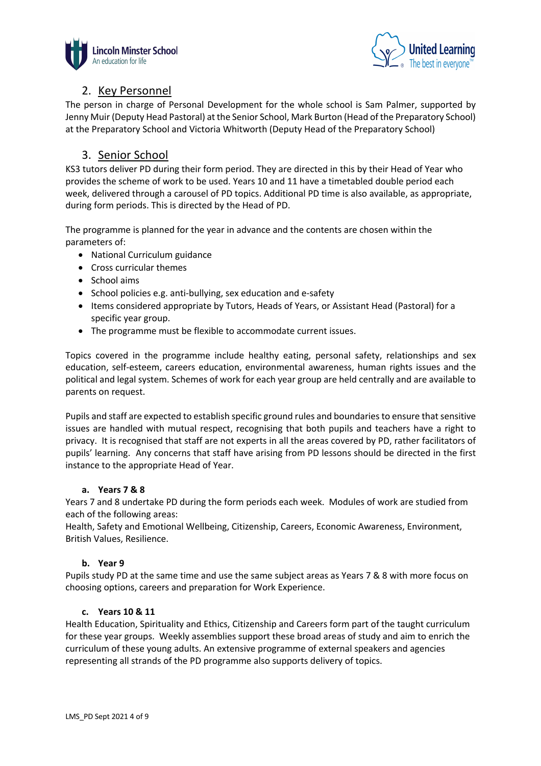



# 2. Key Personnel

The person in charge of Personal Development for the whole school is Sam Palmer, supported by Jenny Muir (Deputy Head Pastoral) at the Senior School, Mark Burton (Head of the Preparatory School) at the Preparatory School and Victoria Whitworth (Deputy Head of the Preparatory School)

# 3. Senior School

KS3 tutors deliver PD during their form period. They are directed in this by their Head of Year who provides the scheme of work to be used. Years 10 and 11 have a timetabled double period each week, delivered through a carousel of PD topics. Additional PD time is also available, as appropriate, during form periods. This is directed by the Head of PD.

The programme is planned for the year in advance and the contents are chosen within the parameters of:

- National Curriculum guidance
- Cross curricular themes
- School aims
- School policies e.g. anti-bullying, sex education and e-safety
- Items considered appropriate by Tutors, Heads of Years, or Assistant Head (Pastoral) for a specific year group.
- The programme must be flexible to accommodate current issues.

Topics covered in the programme include healthy eating, personal safety, relationships and sex education, self-esteem, careers education, environmental awareness, human rights issues and the political and legal system. Schemes of work for each year group are held centrally and are available to parents on request.

Pupils and staff are expected to establish specific ground rules and boundaries to ensure that sensitive issues are handled with mutual respect, recognising that both pupils and teachers have a right to privacy. It is recognised that staff are not experts in all the areas covered by PD, rather facilitators of pupils' learning. Any concerns that staff have arising from PD lessons should be directed in the first instance to the appropriate Head of Year.

# **a. Years 7 & 8**

Years 7 and 8 undertake PD during the form periods each week. Modules of work are studied from each of the following areas:

Health, Safety and Emotional Wellbeing, Citizenship, Careers, Economic Awareness, Environment, British Values, Resilience.

# **b. Year 9**

Pupils study PD at the same time and use the same subject areas as Years 7 & 8 with more focus on choosing options, careers and preparation for Work Experience.

# **c. Years 10 & 11**

Health Education, Spirituality and Ethics, Citizenship and Careers form part of the taught curriculum for these year groups. Weekly assemblies support these broad areas of study and aim to enrich the curriculum of these young adults. An extensive programme of external speakers and agencies representing all strands of the PD programme also supports delivery of topics.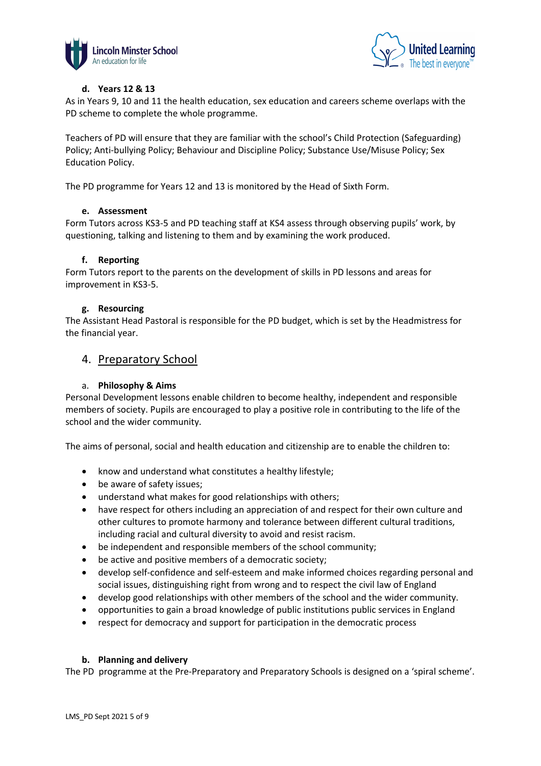



# **d. Years 12 & 13**

As in Years 9, 10 and 11 the health education, sex education and careers scheme overlaps with the PD scheme to complete the whole programme.

Teachers of PD will ensure that they are familiar with the school's Child Protection (Safeguarding) Policy; Anti-bullying Policy; Behaviour and Discipline Policy; Substance Use/Misuse Policy; Sex Education Policy.

The PD programme for Years 12 and 13 is monitored by the Head of Sixth Form.

#### **e. Assessment**

Form Tutors across KS3-5 and PD teaching staff at KS4 assess through observing pupils' work, by questioning, talking and listening to them and by examining the work produced.

#### **f. Reporting**

Form Tutors report to the parents on the development of skills in PD lessons and areas for improvement in KS3-5.

#### **g. Resourcing**

The Assistant Head Pastoral is responsible for the PD budget, which is set by the Headmistress for the financial year.

# 4. Preparatory School

### a. **Philosophy & Aims**

Personal Development lessons enable children to become healthy, independent and responsible members of society. Pupils are encouraged to play a positive role in contributing to the life of the school and the wider community.

The aims of personal, social and health education and citizenship are to enable the children to:

- know and understand what constitutes a healthy lifestyle;
- be aware of safety issues;
- understand what makes for good relationships with others;
- have respect for others including an appreciation of and respect for their own culture and other cultures to promote harmony and tolerance between different cultural traditions, including racial and cultural diversity to avoid and resist racism.
- be independent and responsible members of the school community;
- be active and positive members of a democratic society;
- develop self-confidence and self-esteem and make informed choices regarding personal and social issues, distinguishing right from wrong and to respect the civil law of England
- develop good relationships with other members of the school and the wider community.
- opportunities to gain a broad knowledge of public institutions public services in England
- respect for democracy and support for participation in the democratic process

#### **b. Planning and delivery**

The PD programme at the Pre-Preparatory and Preparatory Schools is designed on a 'spiral scheme'.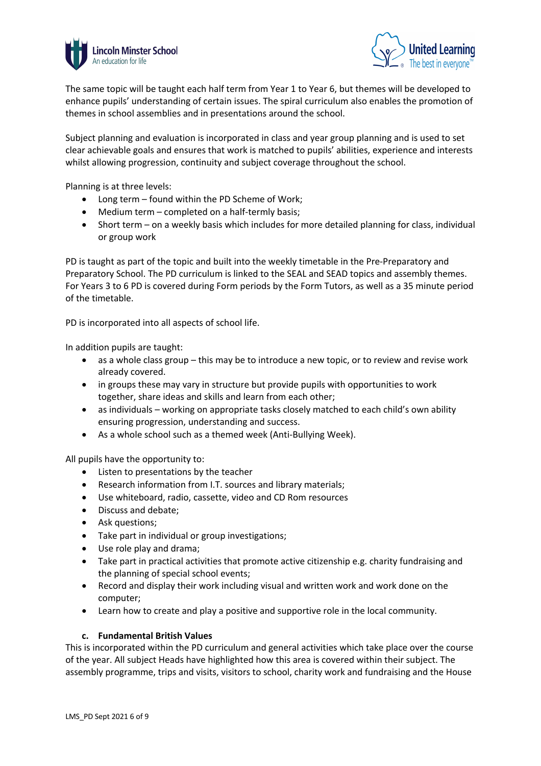



The same topic will be taught each half term from Year 1 to Year 6, but themes will be developed to enhance pupils' understanding of certain issues. The spiral curriculum also enables the promotion of themes in school assemblies and in presentations around the school.

Subject planning and evaluation is incorporated in class and year group planning and is used to set clear achievable goals and ensures that work is matched to pupils' abilities, experience and interests whilst allowing progression, continuity and subject coverage throughout the school.

Planning is at three levels:

- Long term found within the PD Scheme of Work;
- Medium term completed on a half-termly basis;
- Short term on a weekly basis which includes for more detailed planning for class, individual or group work

PD is taught as part of the topic and built into the weekly timetable in the Pre-Preparatory and Preparatory School. The PD curriculum is linked to the SEAL and SEAD topics and assembly themes. For Years 3 to 6 PD is covered during Form periods by the Form Tutors, as well as a 35 minute period of the timetable.

PD is incorporated into all aspects of school life.

In addition pupils are taught:

- as a whole class group this may be to introduce a new topic, or to review and revise work already covered.
- in groups these may vary in structure but provide pupils with opportunities to work together, share ideas and skills and learn from each other;
- as individuals working on appropriate tasks closely matched to each child's own ability ensuring progression, understanding and success.
- As a whole school such as a themed week (Anti-Bullying Week).

All pupils have the opportunity to:

- Listen to presentations by the teacher
- Research information from I.T. sources and library materials;
- Use whiteboard, radio, cassette, video and CD Rom resources
- Discuss and debate;
- Ask questions;
- Take part in individual or group investigations;
- Use role play and drama;
- Take part in practical activities that promote active citizenship e.g. charity fundraising and the planning of special school events;
- Record and display their work including visual and written work and work done on the computer;
- Learn how to create and play a positive and supportive role in the local community.

#### **c. Fundamental British Values**

This is incorporated within the PD curriculum and general activities which take place over the course of the year. All subject Heads have highlighted how this area is covered within their subject. The assembly programme, trips and visits, visitors to school, charity work and fundraising and the House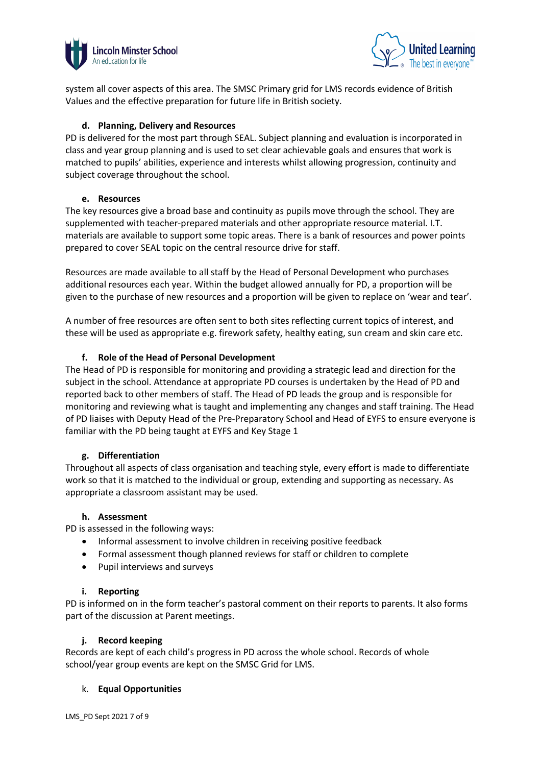



system all cover aspects of this area. The SMSC Primary grid for LMS records evidence of British Values and the effective preparation for future life in British society.

# **d. Planning, Delivery and Resources**

PD is delivered for the most part through SEAL. Subject planning and evaluation is incorporated in class and year group planning and is used to set clear achievable goals and ensures that work is matched to pupils' abilities, experience and interests whilst allowing progression, continuity and subject coverage throughout the school.

# **e. Resources**

The key resources give a broad base and continuity as pupils move through the school. They are supplemented with teacher-prepared materials and other appropriate resource material. I.T. materials are available to support some topic areas. There is a bank of resources and power points prepared to cover SEAL topic on the central resource drive for staff.

Resources are made available to all staff by the Head of Personal Development who purchases additional resources each year. Within the budget allowed annually for PD, a proportion will be given to the purchase of new resources and a proportion will be given to replace on 'wear and tear'.

A number of free resources are often sent to both sites reflecting current topics of interest, and these will be used as appropriate e.g. firework safety, healthy eating, sun cream and skin care etc.

# **f. Role of the Head of Personal Development**

The Head of PD is responsible for monitoring and providing a strategic lead and direction for the subject in the school. Attendance at appropriate PD courses is undertaken by the Head of PD and reported back to other members of staff. The Head of PD leads the group and is responsible for monitoring and reviewing what is taught and implementing any changes and staff training. The Head of PD liaises with Deputy Head of the Pre-Preparatory School and Head of EYFS to ensure everyone is familiar with the PD being taught at EYFS and Key Stage 1

# **g. Differentiation**

Throughout all aspects of class organisation and teaching style, every effort is made to differentiate work so that it is matched to the individual or group, extending and supporting as necessary. As appropriate a classroom assistant may be used.

# **h. Assessment**

PD is assessed in the following ways:

- Informal assessment to involve children in receiving positive feedback
- Formal assessment though planned reviews for staff or children to complete
- Pupil interviews and surveys

# **i. Reporting**

PD is informed on in the form teacher's pastoral comment on their reports to parents. It also forms part of the discussion at Parent meetings.

# **j. Record keeping**

Records are kept of each child's progress in PD across the whole school. Records of whole school/year group events are kept on the SMSC Grid for LMS.

# k. **Equal Opportunities**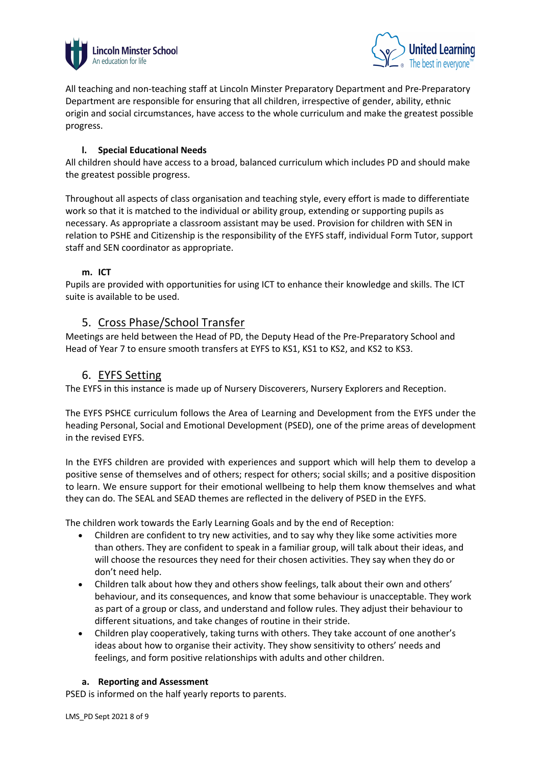



All teaching and non-teaching staff at Lincoln Minster Preparatory Department and Pre-Preparatory Department are responsible for ensuring that all children, irrespective of gender, ability, ethnic origin and social circumstances, have access to the whole curriculum and make the greatest possible progress.

# **l. Special Educational Needs**

All children should have access to a broad, balanced curriculum which includes PD and should make the greatest possible progress.

Throughout all aspects of class organisation and teaching style, every effort is made to differentiate work so that it is matched to the individual or ability group, extending or supporting pupils as necessary. As appropriate a classroom assistant may be used. Provision for children with SEN in relation to PSHE and Citizenship is the responsibility of the EYFS staff, individual Form Tutor, support staff and SEN coordinator as appropriate.

# **m. ICT**

Pupils are provided with opportunities for using ICT to enhance their knowledge and skills. The ICT suite is available to be used.

# 5. Cross Phase/School Transfer

Meetings are held between the Head of PD, the Deputy Head of the Pre-Preparatory School and Head of Year 7 to ensure smooth transfers at EYFS to KS1, KS1 to KS2, and KS2 to KS3.

# 6. EYFS Setting

The EYFS in this instance is made up of Nursery Discoverers, Nursery Explorers and Reception.

The EYFS PSHCE curriculum follows the Area of Learning and Development from the EYFS under the heading Personal, Social and Emotional Development (PSED), one of the prime areas of development in the revised EYFS.

In the EYFS children are provided with experiences and support which will help them to develop a positive sense of themselves and of others; respect for others; social skills; and a positive disposition to learn. We ensure support for their emotional wellbeing to help them know themselves and what they can do. The SEAL and SEAD themes are reflected in the delivery of PSED in the EYFS.

The children work towards the Early Learning Goals and by the end of Reception:

- Children are confident to try new activities, and to say why they like some activities more than others. They are confident to speak in a familiar group, will talk about their ideas, and will choose the resources they need for their chosen activities. They say when they do or don't need help.
- Children talk about how they and others show feelings, talk about their own and others' behaviour, and its consequences, and know that some behaviour is unacceptable. They work as part of a group or class, and understand and follow rules. They adjust their behaviour to different situations, and take changes of routine in their stride.
- Children play cooperatively, taking turns with others. They take account of one another's ideas about how to organise their activity. They show sensitivity to others' needs and feelings, and form positive relationships with adults and other children.

# **a. Reporting and Assessment**

PSED is informed on the half yearly reports to parents.